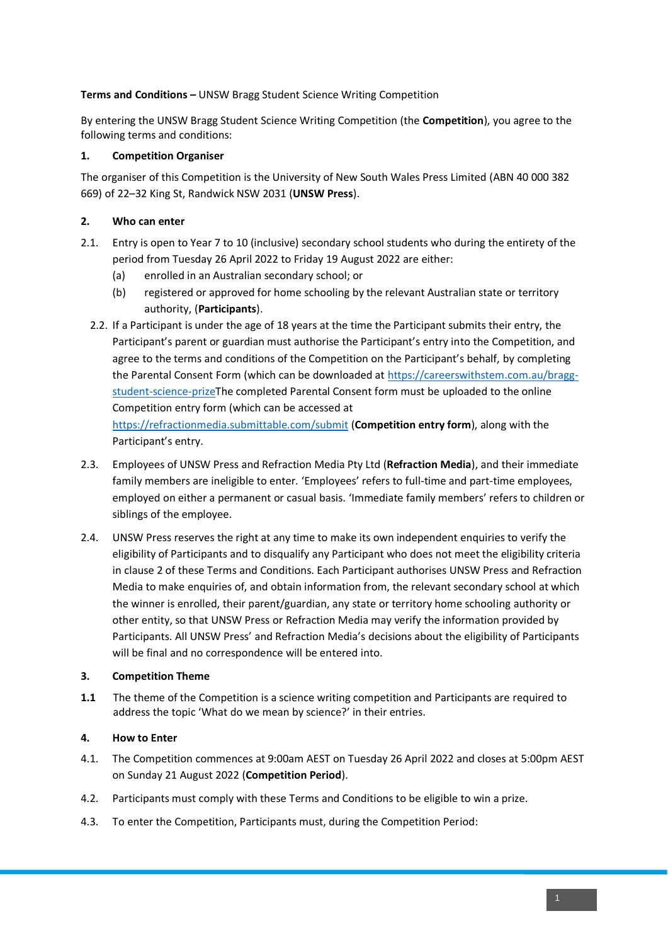### **Terms and Conditions –** UNSW Bragg Student Science Writing Competition

By entering the UNSW Bragg Student Science Writing Competition (the **Competition**), you agree to the following terms and conditions:

## **1. Competition Organiser**

The organiser of this Competition is the University of New South Wales Press Limited (ABN 40 000 382 669) of 22–32 King St, Randwick NSW 2031 (**UNSW Press**).

# **2. Who can enter**

- 2.1. Entry is open to Year 7 to 10 (inclusive) secondary school students who during the entirety of the period from Tuesday 26 April 2022 to Friday 19 August 2022 are either:
	- (a) enrolled in an Australian secondary school; or
	- (b) registered or approved for home schooling by the relevant Australian state or territory authority, (**Participants**).
	- 2.2. If a Participant is under the age of 18 years at the time the Participant submits their entry, the Participant's parent or guardian must authorise the Participant's entry into the Competition, and agree to the terms and conditions of the Competition on the Participant's behalf, by completing the Parental Consent Form (which can be downloaded at [https://careerswithstem.com.au/bragg](https://careerswithstem.com.au/bragg-student-science-prize)[student-science-prizeT](https://careerswithstem.com.au/bragg-student-science-prize)he completed Parental Consent form must be uploaded to the online Competition entry form (which can be accessed at <https://refractionmedia.submittable.com/submit> (**Competition entry form**), along with the Participant's entry.
- 2.3. Employees of UNSW Press and Refraction Media Pty Ltd (**Refraction Media**), and their immediate family members are ineligible to enter. 'Employees' refers to full-time and part-time employees, employed on either a permanent or casual basis. 'Immediate family members' refers to children or siblings of the employee.
- 2.4. UNSW Press reserves the right at any time to make its own independent enquiries to verify the eligibility of Participants and to disqualify any Participant who does not meet the eligibility criteria in clause 2 of these Terms and Conditions. Each Participant authorises UNSW Press and Refraction Media to make enquiries of, and obtain information from, the relevant secondary school at which the winner is enrolled, their parent/guardian, any state or territory home schooling authority or other entity, so that UNSW Press or Refraction Media may verify the information provided by Participants. All UNSW Press' and Refraction Media's decisions about the eligibility of Participants will be final and no correspondence will be entered into.

### **3. Competition Theme**

**1.1** The theme of the Competition is a science writing competition and Participants are required to address the topic 'What do we mean by science?' in their entries.

# **4. How to Enter**

- 4.1. The Competition commences at 9:00am AEST on Tuesday 26 April 2022 and closes at 5:00pm AEST on Sunday 21 August 2022 (**Competition Period**).
- 4.2. Participants must comply with these Terms and Conditions to be eligible to win a prize.
- 4.3. To enter the Competition, Participants must, during the Competition Period: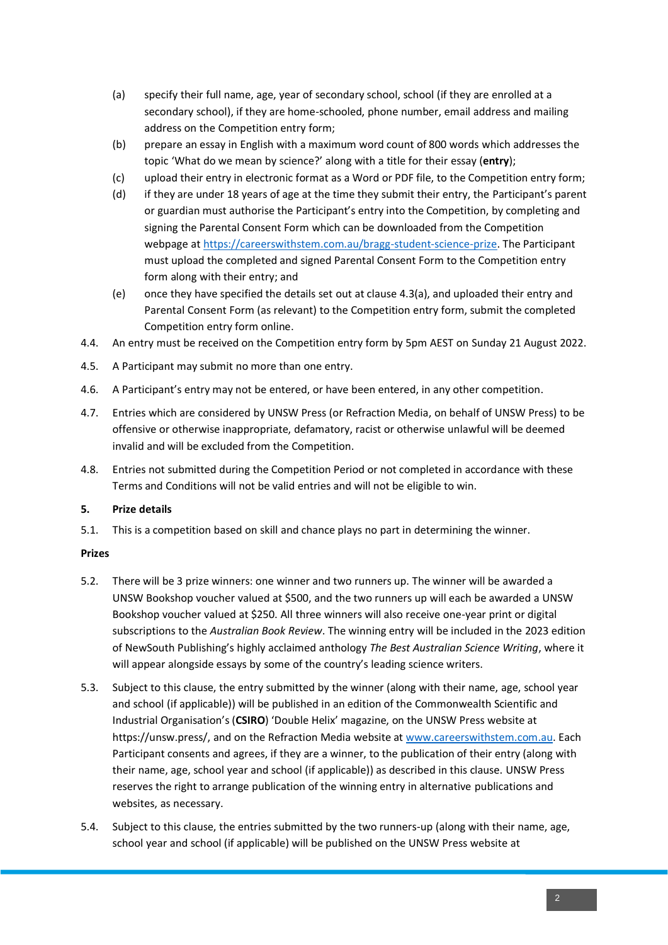- (a) specify their full name, age, year of secondary school, school (if they are enrolled at a secondary school), if they are home-schooled, phone number, email address and mailing address on the Competition entry form;
- (b) prepare an essay in English with a maximum word count of 800 words which addresses the topic 'What do we mean by science?' along with a title for their essay (**entry**);
- (c) upload their entry in electronic format as a Word or PDF file, to the Competition entry form;
- (d) if they are under 18 years of age at the time they submit their entry, the Participant's parent or guardian must authorise the Participant's entry into the Competition, by completing and signing the Parental Consent Form which can be downloaded from the Competition webpage at [https://careerswithstem.com.au/bragg-student-science-prize.](https://careerswithstem.com.au/bragg-student-science-prize) The Participant must upload the completed and signed Parental Consent Form to the Competition entry form along with their entry; and
- (e) once they have specified the details set out at clause 4.3(a), and uploaded their entry and Parental Consent Form (as relevant) to the Competition entry form, submit the completed Competition entry form online.
- 4.4. An entry must be received on the Competition entry form by 5pm AEST on Sunday 21 August 2022.
- 4.5. A Participant may submit no more than one entry.
- 4.6. A Participant's entry may not be entered, or have been entered, in any other competition.
- 4.7. Entries which are considered by UNSW Press (or Refraction Media, on behalf of UNSW Press) to be offensive or otherwise inappropriate, defamatory, racist or otherwise unlawful will be deemed invalid and will be excluded from the Competition.
- 4.8. Entries not submitted during the Competition Period or not completed in accordance with these Terms and Conditions will not be valid entries and will not be eligible to win.

#### **5. Prize details**

5.1. This is a competition based on skill and chance plays no part in determining the winner.

#### **Prizes**

- 5.2. There will be 3 prize winners: one winner and two runners up. The winner will be awarded a UNSW Bookshop voucher valued at \$500, and the two runners up will each be awarded a UNSW Bookshop voucher valued at \$250. All three winners will also receive one-year print or digital subscriptions to the *Australian Book Review*. The winning entry will be included in the 2023 edition of NewSouth Publishing's highly acclaimed anthology *The Best Australian Science Writing*, where it will appear alongside essays by some of the country's leading science writers.
- 5.3. Subject to this clause, the entry submitted by the winner (along with their name, age, school year and school (if applicable)) will be published in an edition of the Commonwealth Scientific and Industrial Organisation's (**CSIRO**) 'Double Helix' magazine, on the UNSW Press website at https://unsw.press/, and on the Refraction Media website at [www.careerswithstem.com.au.](http://www.careerswithstem.com.au/) Each Participant consents and agrees, if they are a winner, to the publication of their entry (along with their name, age, school year and school (if applicable)) as described in this clause. UNSW Press reserves the right to arrange publication of the winning entry in alternative publications and websites, as necessary.
- 5.4. Subject to this clause, the entries submitted by the two runners-up (along with their name, age, school year and school (if applicable) will be published on the UNSW Press website at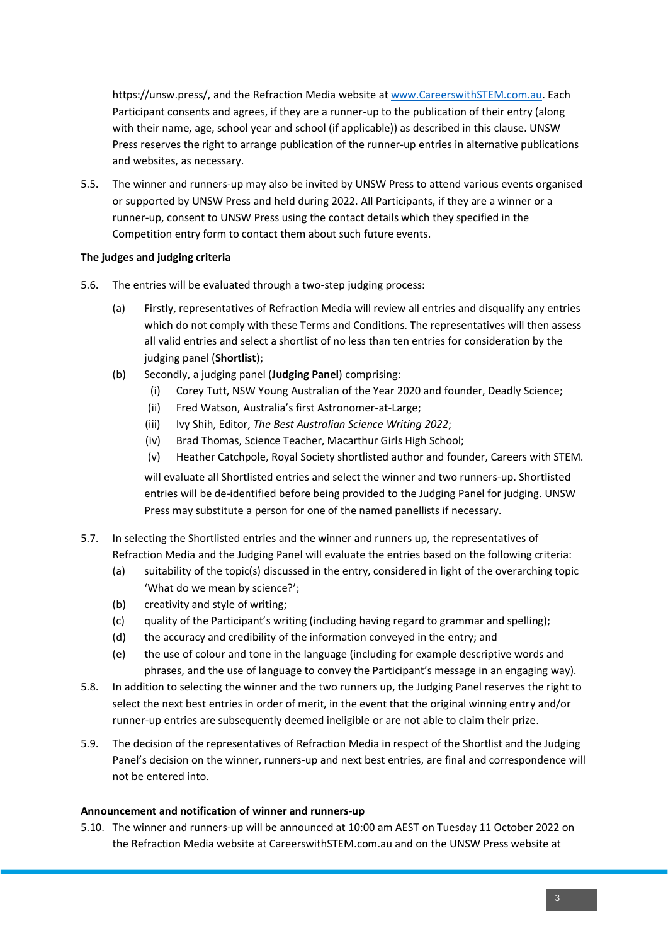https://unsw.press/, and the Refraction Media website a[t www.CareerswithSTEM.com.au.](http://www.careerswithstem.com.au/) Each Participant consents and agrees, if they are a runner-up to the publication of their entry (along with their name, age, school year and school (if applicable)) as described in this clause. UNSW Press reserves the right to arrange publication of the runner-up entries in alternative publications and websites, as necessary.

5.5. The winner and runners-up may also be invited by UNSW Press to attend various events organised or supported by UNSW Press and held during 2022. All Participants, if they are a winner or a runner-up, consent to UNSW Press using the contact details which they specified in the Competition entry form to contact them about such future events.

### **The judges and judging criteria**

- 5.6. The entries will be evaluated through a two-step judging process:
	- (a) Firstly, representatives of Refraction Media will review all entries and disqualify any entries which do not comply with these Terms and Conditions. The representatives will then assess all valid entries and select a shortlist of no less than ten entries for consideration by the judging panel (**Shortlist**);
	- (b) Secondly, a judging panel (**Judging Panel**) comprising:
		- (i) Corey Tutt, NSW Young Australian of the Year 2020 and founder, Deadly Science;
		- (ii) Fred Watson, Australia's first Astronomer-at-Large;
		- (iii) Ivy Shih, Editor, *The Best Australian Science Writing 2022*;
		- (iv) Brad Thomas, Science Teacher, Macarthur Girls High School;
		- (v) Heather Catchpole, Royal Society shortlisted author and founder, Careers with STEM.

will evaluate all Shortlisted entries and select the winner and two runners-up. Shortlisted entries will be de-identified before being provided to the Judging Panel for judging. UNSW Press may substitute a person for one of the named panellists if necessary.

- 5.7. In selecting the Shortlisted entries and the winner and runners up, the representatives of Refraction Media and the Judging Panel will evaluate the entries based on the following criteria:
	- (a) suitability of the topic(s) discussed in the entry, considered in light of the overarching topic 'What do we mean by science?';
	- (b) creativity and style of writing;
	- (c) quality of the Participant's writing (including having regard to grammar and spelling);
	- (d) the accuracy and credibility of the information conveyed in the entry; and
	- (e) the use of colour and tone in the language (including for example descriptive words and phrases, and the use of language to convey the Participant's message in an engaging way).
- 5.8. In addition to selecting the winner and the two runners up, the Judging Panel reserves the right to select the next best entries in order of merit, in the event that the original winning entry and/or runner-up entries are subsequently deemed ineligible or are not able to claim their prize.
- 5.9. The decision of the representatives of Refraction Media in respect of the Shortlist and the Judging Panel's decision on the winner, runners-up and next best entries, are final and correspondence will not be entered into.

### **Announcement and notification of winner and runners-up**

5.10. The winner and runners-up will be announced at 10:00 am AEST on Tuesday 11 October 2022 on the Refraction Media website at CareerswithSTEM.com.au and on the UNSW Press website at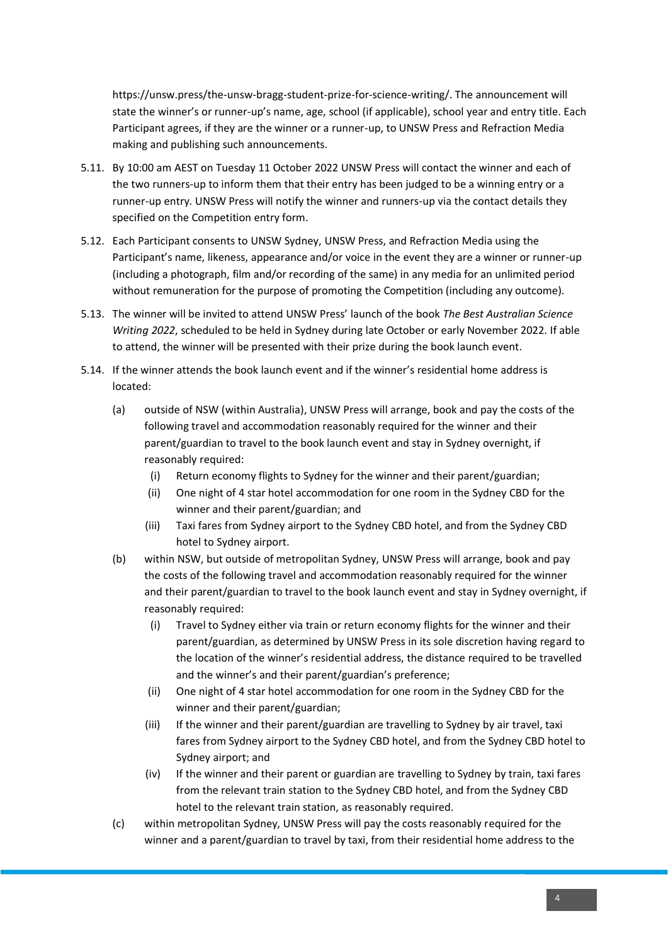https://unsw.press/the-unsw-bragg-student-prize-for-science-writing/. The announcement will state the winner's or runner-up's name, age, school (if applicable), school year and entry title. Each Participant agrees, if they are the winner or a runner-up, to UNSW Press and Refraction Media making and publishing such announcements.

- 5.11. By 10:00 am AEST on Tuesday 11 October 2022 UNSW Press will contact the winner and each of the two runners-up to inform them that their entry has been judged to be a winning entry or a runner-up entry. UNSW Press will notify the winner and runners-up via the contact details they specified on the Competition entry form.
- 5.12. Each Participant consents to UNSW Sydney, UNSW Press, and Refraction Media using the Participant's name, likeness, appearance and/or voice in the event they are a winner or runner-up (including a photograph, film and/or recording of the same) in any media for an unlimited period without remuneration for the purpose of promoting the Competition (including any outcome).
- 5.13. The winner will be invited to attend UNSW Press' launch of the book *The Best Australian Science Writing 2022*, scheduled to be held in Sydney during late October or early November 2022. If able to attend, the winner will be presented with their prize during the book launch event.
- 5.14. If the winner attends the book launch event and if the winner's residential home address is located:
	- (a) outside of NSW (within Australia), UNSW Press will arrange, book and pay the costs of the following travel and accommodation reasonably required for the winner and their parent/guardian to travel to the book launch event and stay in Sydney overnight, if reasonably required:
		- (i) Return economy flights to Sydney for the winner and their parent/guardian;
		- (ii) One night of 4 star hotel accommodation for one room in the Sydney CBD for the winner and their parent/guardian; and
		- (iii) Taxi fares from Sydney airport to the Sydney CBD hotel, and from the Sydney CBD hotel to Sydney airport.
	- (b) within NSW, but outside of metropolitan Sydney, UNSW Press will arrange, book and pay the costs of the following travel and accommodation reasonably required for the winner and their parent/guardian to travel to the book launch event and stay in Sydney overnight, if reasonably required:
		- (i) Travel to Sydney either via train or return economy flights for the winner and their parent/guardian, as determined by UNSW Press in its sole discretion having regard to the location of the winner's residential address, the distance required to be travelled and the winner's and their parent/guardian's preference;
		- (ii) One night of 4 star hotel accommodation for one room in the Sydney CBD for the winner and their parent/guardian;
		- (iii) If the winner and their parent/guardian are travelling to Sydney by air travel, taxi fares from Sydney airport to the Sydney CBD hotel, and from the Sydney CBD hotel to Sydney airport; and
		- (iv) If the winner and their parent or guardian are travelling to Sydney by train, taxi fares from the relevant train station to the Sydney CBD hotel, and from the Sydney CBD hotel to the relevant train station, as reasonably required.
	- (c) within metropolitan Sydney, UNSW Press will pay the costs reasonably required for the winner and a parent/guardian to travel by taxi, from their residential home address to the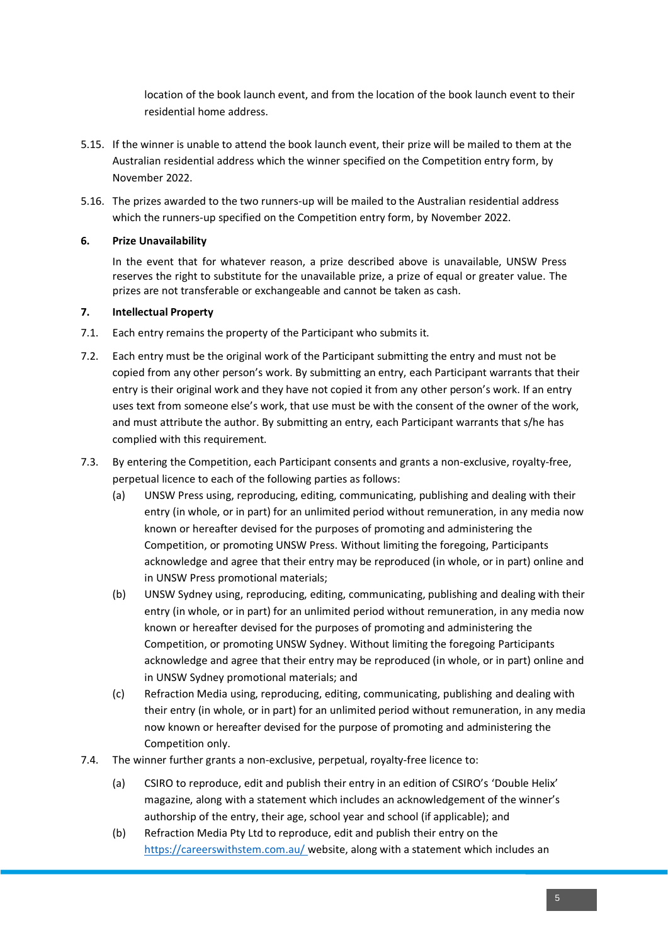location of the book launch event, and from the location of the book launch event to their residential home address.

- 5.15. If the winner is unable to attend the book launch event, their prize will be mailed to them at the Australian residential address which the winner specified on the Competition entry form, by November 2022.
- 5.16. The prizes awarded to the two runners-up will be mailed to the Australian residential address which the runners-up specified on the Competition entry form, by November 2022.

### **6. Prize Unavailability**

In the event that for whatever reason, a prize described above is unavailable, UNSW Press reserves the right to substitute for the unavailable prize, a prize of equal or greater value. The prizes are not transferable or exchangeable and cannot be taken as cash.

#### **7. Intellectual Property**

- 7.1. Each entry remains the property of the Participant who submits it.
- 7.2. Each entry must be the original work of the Participant submitting the entry and must not be copied from any other person's work. By submitting an entry, each Participant warrants that their entry is their original work and they have not copied it from any other person's work. If an entry uses text from someone else's work, that use must be with the consent of the owner of the work, and must attribute the author. By submitting an entry, each Participant warrants that s/he has complied with this requirement.
- 7.3. By entering the Competition, each Participant consents and grants a non-exclusive, royalty-free, perpetual licence to each of the following parties as follows:
	- (a) UNSW Press using, reproducing, editing, communicating, publishing and dealing with their entry (in whole, or in part) for an unlimited period without remuneration, in any media now known or hereafter devised for the purposes of promoting and administering the Competition, or promoting UNSW Press. Without limiting the foregoing, Participants acknowledge and agree that their entry may be reproduced (in whole, or in part) online and in UNSW Press promotional materials;
	- (b) UNSW Sydney using, reproducing, editing, communicating, publishing and dealing with their entry (in whole, or in part) for an unlimited period without remuneration, in any media now known or hereafter devised for the purposes of promoting and administering the Competition, or promoting UNSW Sydney. Without limiting the foregoing Participants acknowledge and agree that their entry may be reproduced (in whole, or in part) online and in UNSW Sydney promotional materials; and
	- (c) Refraction Media using, reproducing, editing, communicating, publishing and dealing with their entry (in whole, or in part) for an unlimited period without remuneration, in any media now known or hereafter devised for the purpose of promoting and administering the Competition only.
- 7.4. The winner further grants a non-exclusive, perpetual, royalty-free licence to:
	- (a) CSIRO to reproduce, edit and publish their entry in an edition of CSIRO's 'Double Helix' magazine, along with a statement which includes an acknowledgement of the winner's authorship of the entry, their age, school year and school (if applicable); and
	- (b) Refraction Media Pty Ltd to reproduce, edit and publish their entry on the https://careerswithstem.com.au/ website, along with a statement which includes an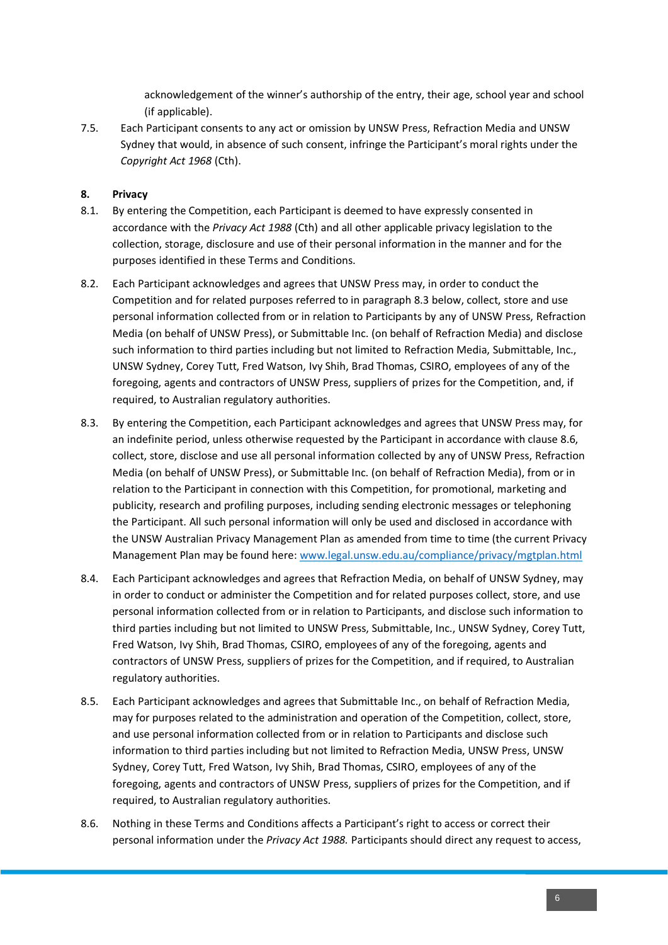acknowledgement of the winner's authorship of the entry, their age, school year and school (if applicable).

7.5. Each Participant consents to any act or omission by UNSW Press, Refraction Media and UNSW Sydney that would, in absence of such consent, infringe the Participant's moral rights under the *Copyright Act 1968* (Cth).

#### **8. Privacy**

- 8.1. By entering the Competition, each Participant is deemed to have expressly consented in accordance with the *Privacy Act 1988* (Cth) and all other applicable privacy legislation to the collection, storage, disclosure and use of their personal information in the manner and for the purposes identified in these Terms and Conditions.
- 8.2. Each Participant acknowledges and agrees that UNSW Press may, in order to conduct the Competition and for related purposes referred to in paragraph 8.3 below, collect, store and use personal information collected from or in relation to Participants by any of UNSW Press, Refraction Media (on behalf of UNSW Press), or Submittable Inc. (on behalf of Refraction Media) and disclose such information to third parties including but not limited to Refraction Media, Submittable, Inc., UNSW Sydney, Corey Tutt, Fred Watson, Ivy Shih, Brad Thomas, CSIRO, employees of any of the foregoing, agents and contractors of UNSW Press, suppliers of prizes for the Competition, and, if required, to Australian regulatory authorities.
- 8.3. By entering the Competition, each Participant acknowledges and agrees that UNSW Press may, for an indefinite period, unless otherwise requested by the Participant in accordance with clause 8.6, collect, store, disclose and use all personal information collected by any of UNSW Press, Refraction Media (on behalf of UNSW Press), or Submittable Inc. (on behalf of Refraction Media), from or in relation to the Participant in connection with this Competition, for promotional, marketing and publicity, research and profiling purposes, including sending electronic messages or telephoning the Participant. All such personal information will only be used and disclosed in accordance with the UNSW Australian Privacy Management Plan as amended from time to time (the current Privacy Management Plan may be found here: [www.legal.unsw.edu.au/compliance/privacy/mgtplan.html](http://www.legal.unsw.edu.au/compliance/privacy/mgtplan.html)
- 8.4. Each Participant acknowledges and agrees that Refraction Media, on behalf of UNSW Sydney, may in order to conduct or administer the Competition and for related purposes collect, store, and use personal information collected from or in relation to Participants, and disclose such information to third parties including but not limited to UNSW Press, Submittable, Inc., UNSW Sydney, Corey Tutt, Fred Watson, Ivy Shih, Brad Thomas, CSIRO, employees of any of the foregoing, agents and contractors of UNSW Press, suppliers of prizes for the Competition, and if required, to Australian regulatory authorities.
- 8.5. Each Participant acknowledges and agrees that Submittable Inc., on behalf of Refraction Media, may for purposes related to the administration and operation of the Competition, collect, store, and use personal information collected from or in relation to Participants and disclose such information to third parties including but not limited to Refraction Media, UNSW Press, UNSW Sydney, Corey Tutt, Fred Watson, Ivy Shih, Brad Thomas, CSIRO, employees of any of the foregoing, agents and contractors of UNSW Press, suppliers of prizes for the Competition, and if required, to Australian regulatory authorities.
- 8.6. Nothing in these Terms and Conditions affects a Participant's right to access or correct their personal information under the *Privacy Act 1988.* Participants should direct any request to access,